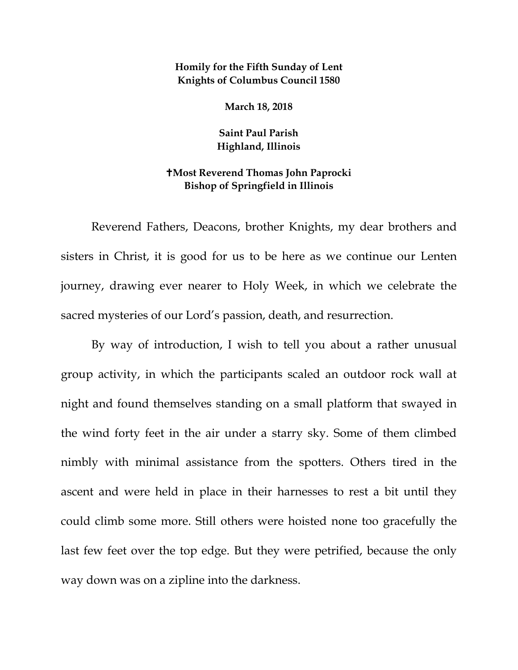## **Homily for the Fifth Sunday of Lent Knights of Columbus Council 1580**

**March 18, 2018** 

**Saint Paul Parish Highland, Illinois**

## **Most Reverend Thomas John Paprocki Bishop of Springfield in Illinois**

Reverend Fathers, Deacons, brother Knights, my dear brothers and sisters in Christ, it is good for us to be here as we continue our Lenten journey, drawing ever nearer to Holy Week, in which we celebrate the sacred mysteries of our Lord's passion, death, and resurrection.

By way of introduction, I wish to tell you about a rather unusual group activity, in which the participants scaled an outdoor rock wall at night and found themselves standing on a small platform that swayed in the wind forty feet in the air under a starry sky. Some of them climbed nimbly with minimal assistance from the spotters. Others tired in the ascent and were held in place in their harnesses to rest a bit until they could climb some more. Still others were hoisted none too gracefully the last few feet over the top edge. But they were petrified, because the only way down was on a zipline into the darkness.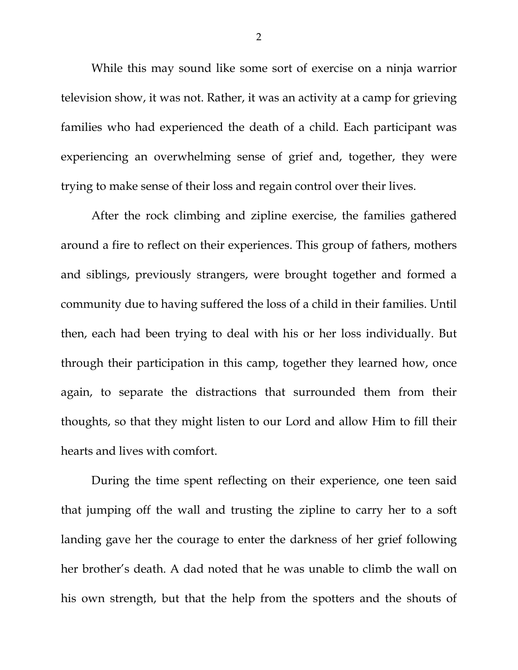While this may sound like some sort of exercise on a ninja warrior television show, it was not. Rather, it was an activity at a camp for grieving families who had experienced the death of a child. Each participant was experiencing an overwhelming sense of grief and, together, they were trying to make sense of their loss and regain control over their lives.

After the rock climbing and zipline exercise, the families gathered around a fire to reflect on their experiences. This group of fathers, mothers and siblings, previously strangers, were brought together and formed a community due to having suffered the loss of a child in their families. Until then, each had been trying to deal with his or her loss individually. But through their participation in this camp, together they learned how, once again, to separate the distractions that surrounded them from their thoughts, so that they might listen to our Lord and allow Him to fill their hearts and lives with comfort.

During the time spent reflecting on their experience, one teen said that jumping off the wall and trusting the zipline to carry her to a soft landing gave her the courage to enter the darkness of her grief following her brother's death. A dad noted that he was unable to climb the wall on his own strength, but that the help from the spotters and the shouts of

2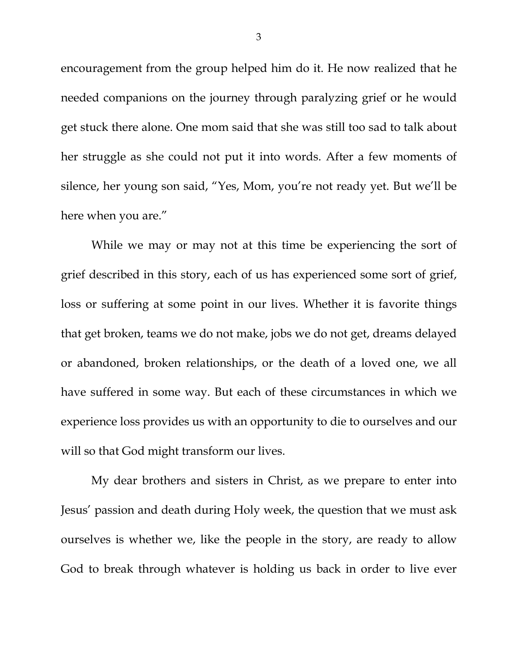encouragement from the group helped him do it. He now realized that he needed companions on the journey through paralyzing grief or he would get stuck there alone. One mom said that she was still too sad to talk about her struggle as she could not put it into words. After a few moments of silence, her young son said, "Yes, Mom, you're not ready yet. But we'll be here when you are."

While we may or may not at this time be experiencing the sort of grief described in this story, each of us has experienced some sort of grief, loss or suffering at some point in our lives. Whether it is favorite things that get broken, teams we do not make, jobs we do not get, dreams delayed or abandoned, broken relationships, or the death of a loved one, we all have suffered in some way. But each of these circumstances in which we experience loss provides us with an opportunity to die to ourselves and our will so that God might transform our lives.

My dear brothers and sisters in Christ, as we prepare to enter into Jesus' passion and death during Holy week, the question that we must ask ourselves is whether we, like the people in the story, are ready to allow God to break through whatever is holding us back in order to live ever

3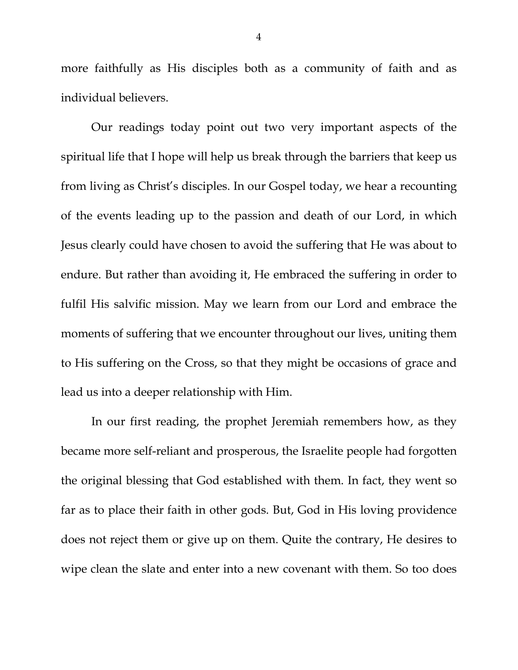more faithfully as His disciples both as a community of faith and as individual believers.

Our readings today point out two very important aspects of the spiritual life that I hope will help us break through the barriers that keep us from living as Christ's disciples. In our Gospel today, we hear a recounting of the events leading up to the passion and death of our Lord, in which Jesus clearly could have chosen to avoid the suffering that He was about to endure. But rather than avoiding it, He embraced the suffering in order to fulfil His salvific mission. May we learn from our Lord and embrace the moments of suffering that we encounter throughout our lives, uniting them to His suffering on the Cross, so that they might be occasions of grace and lead us into a deeper relationship with Him.

In our first reading, the prophet Jeremiah remembers how, as they became more self-reliant and prosperous, the Israelite people had forgotten the original blessing that God established with them. In fact, they went so far as to place their faith in other gods. But, God in His loving providence does not reject them or give up on them. Quite the contrary, He desires to wipe clean the slate and enter into a new covenant with them. So too does